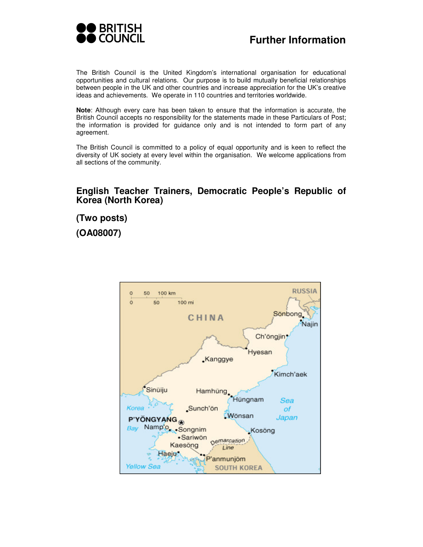

The British Council is the United Kingdom's international organisation for educational opportunities and cultural relations. Our purpose is to build mutually beneficial relationships between people in the UK and other countries and increase appreciation for the UK's creative ideas and achievements. We operate in 110 countries and territories worldwide.

**Note**: Although every care has been taken to ensure that the information is accurate, the British Council accepts no responsibility for the statements made in these Particulars of Post; the information is provided for guidance only and is not intended to form part of any agreement.

The British Council is committed to a policy of equal opportunity and is keen to reflect the diversity of UK society at every level within the organisation. We welcome applications from all sections of the community.

### **English Teacher Trainers, Democratic People's Republic of Korea (North Korea)**

**(Two posts) (OA08007)** 

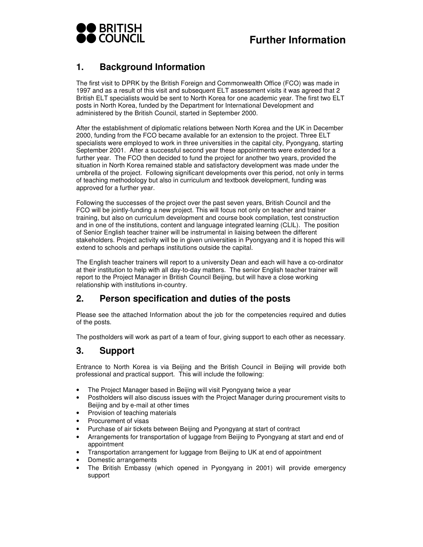

## **1. Background Information**

The first visit to DPRK by the British Foreign and Commonwealth Office (FCO) was made in 1997 and as a result of this visit and subsequent ELT assessment visits it was agreed that 2 British ELT specialists would be sent to North Korea for one academic year. The first two ELT posts in North Korea, funded by the Department for International Development and administered by the British Council, started in September 2000.

After the establishment of diplomatic relations between North Korea and the UK in December 2000, funding from the FCO became available for an extension to the project. Three ELT specialists were employed to work in three universities in the capital city, Pyongyang, starting September 2001. After a successful second year these appointments were extended for a further year. The FCO then decided to fund the project for another two years, provided the situation in North Korea remained stable and satisfactory development was made under the umbrella of the project. Following significant developments over this period, not only in terms of teaching methodology but also in curriculum and textbook development, funding was approved for a further year.

Following the successes of the project over the past seven years, British Council and the FCO will be jointly-funding a new project. This will focus not only on teacher and trainer training, but also on curriculum development and course book compilation, test construction and in one of the institutions, content and language integrated learning (CLIL). The position of Senior English teacher trainer will be instrumental in liaising between the different stakeholders. Project activity will be in given universities in Pyongyang and it is hoped this will extend to schools and perhaps institutions outside the capital.

The English teacher trainers will report to a university Dean and each will have a co-ordinator at their institution to help with all day-to-day matters. The senior English teacher trainer will report to the Project Manager in British Council Beijing, but will have a close working relationship with institutions in-country.

## **2. Person specification and duties of the posts**

Please see the attached Information about the job for the competencies required and duties of the posts.

The postholders will work as part of a team of four, giving support to each other as necessary.

## **3. Support**

Entrance to North Korea is via Beijing and the British Council in Beijing will provide both professional and practical support. This will include the following:

- The Project Manager based in Beijing will visit Pyongyang twice a year
- Postholders will also discuss issues with the Project Manager during procurement visits to Beijing and by e-mail at other times
- Provision of teaching materials
- Procurement of visas
- Purchase of air tickets between Beijing and Pyongyang at start of contract
- Arrangements for transportation of luggage from Beijing to Pyongyang at start and end of appointment
- Transportation arrangement for luggage from Beijing to UK at end of appointment
- Domestic arrangements
- The British Embassy (which opened in Pyongyang in 2001) will provide emergency support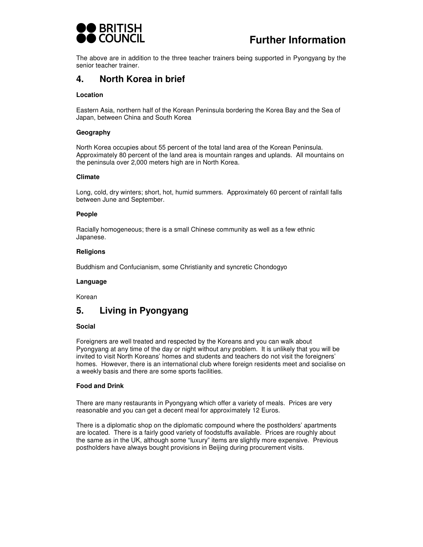

# **Further Information**

The above are in addition to the three teacher trainers being supported in Pyongyang by the senior teacher trainer.

## **4. North Korea in brief**

#### **Location**

Eastern Asia, northern half of the Korean Peninsula bordering the Korea Bay and the Sea of Japan, between China and South Korea

#### **Geography**

North Korea occupies about 55 percent of the total land area of the Korean Peninsula. Approximately 80 percent of the land area is mountain ranges and uplands. All mountains on the peninsula over 2,000 meters high are in North Korea.

#### **Climate**

Long, cold, dry winters; short, hot, humid summers. Approximately 60 percent of rainfall falls between June and September.

#### **People**

Racially homogeneous; there is a small Chinese community as well as a few ethnic Japanese.

#### **Religions**

Buddhism and Confucianism, some Christianity and syncretic Chondogyo

#### **Language**

Korean

## **5. Living in Pyongyang**

#### **Social**

Foreigners are well treated and respected by the Koreans and you can walk about Pyongyang at any time of the day or night without any problem. It is unlikely that you will be invited to visit North Koreans' homes and students and teachers do not visit the foreigners' homes. However, there is an international club where foreign residents meet and socialise on a weekly basis and there are some sports facilities.

#### **Food and Drink**

There are many restaurants in Pyongyang which offer a variety of meals. Prices are very reasonable and you can get a decent meal for approximately 12 Euros.

There is a diplomatic shop on the diplomatic compound where the postholders' apartments are located. There is a fairly good variety of foodstuffs available. Prices are roughly about the same as in the UK, although some "luxury" items are slightly more expensive. Previous postholders have always bought provisions in Beijing during procurement visits.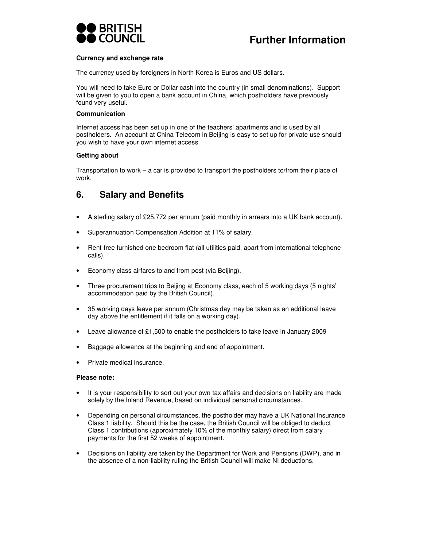

#### **Currency and exchange rate**

The currency used by foreigners in North Korea is Euros and US dollars.

You will need to take Euro or Dollar cash into the country (in small denominations). Support will be given to you to open a bank account in China, which postholders have previously found very useful.

#### **Communication**

Internet access has been set up in one of the teachers' apartments and is used by all postholders. An account at China Telecom in Beijing is easy to set up for private use should you wish to have your own internet access.

#### **Getting about**

Transportation to work – a car is provided to transport the postholders to/from their place of work.

### **6. Salary and Benefits**

- A sterling salary of £25.772 per annum (paid monthly in arrears into a UK bank account).
- Superannuation Compensation Addition at 11% of salary.
- Rent-free furnished one bedroom flat (all utilities paid, apart from international telephone calls).
- Economy class airfares to and from post (via Beijing).
- Three procurement trips to Beijing at Economy class, each of 5 working days (5 nights' accommodation paid by the British Council).
- 35 working days leave per annum (Christmas day may be taken as an additional leave day above the entitlement if it falls on a working day).
- Leave allowance of £1,500 to enable the postholders to take leave in January 2009
- Baggage allowance at the beginning and end of appointment.
- Private medical insurance.

#### **Please note:**

- It is your responsibility to sort out your own tax affairs and decisions on liability are made solely by the Inland Revenue, based on individual personal circumstances.
- Depending on personal circumstances, the postholder may have a UK National Insurance Class 1 liability. Should this be the case, the British Council will be obliged to deduct Class 1 contributions (approximately 10% of the monthly salary) direct from salary payments for the first 52 weeks of appointment.
- Decisions on liability are taken by the Department for Work and Pensions (DWP), and in the absence of a non-liability ruling the British Council will make NI deductions.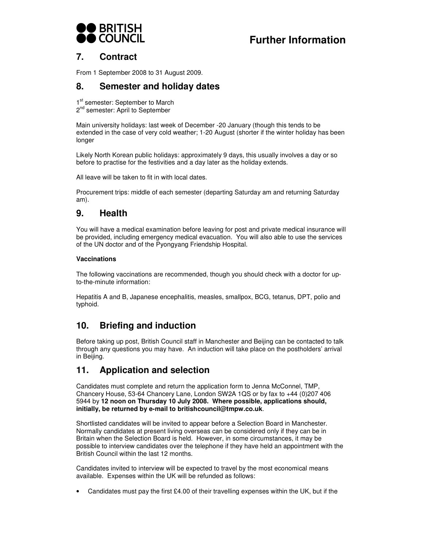

# **Further Information**

## **7. Contract**

From 1 September 2008 to 31 August 2009.

## **8. Semester and holiday dates**

1<sup>st</sup> semester: September to March 2<sup>nd</sup> semester: April to September

Main university holidays: last week of December -20 January (though this tends to be extended in the case of very cold weather; 1-20 August (shorter if the winter holiday has been longer

Likely North Korean public holidays: approximately 9 days, this usually involves a day or so before to practise for the festivities and a day later as the holiday extends.

All leave will be taken to fit in with local dates.

Procurement trips: middle of each semester (departing Saturday am and returning Saturday am).

## **9. Health**

You will have a medical examination before leaving for post and private medical insurance will be provided, including emergency medical evacuation. You will also able to use the services of the UN doctor and of the Pyongyang Friendship Hospital.

#### **Vaccinations**

The following vaccinations are recommended, though you should check with a doctor for upto-the-minute information:

Hepatitis A and B, Japanese encephalitis, measles, smallpox, BCG, tetanus, DPT, polio and typhoid.

## **10. Briefing and induction**

Before taking up post, British Council staff in Manchester and Beijing can be contacted to talk through any questions you may have. An induction will take place on the postholders' arrival in Beijing.

## **11. Application and selection**

Candidates must complete and return the application form to Jenna McConnel, TMP, Chancery House, 53-64 Chancery Lane, London SW2A 1QS or by fax to +44 (0)207 406 5944 by **12 noon on Thursday 10 July 2008. Where possible, applications should, initially, be returned by e-mail to britishcouncil@tmpw.co.uk**.

Shortlisted candidates will be invited to appear before a Selection Board in Manchester. Normally candidates at present living overseas can be considered only if they can be in Britain when the Selection Board is held. However, in some circumstances, it may be possible to interview candidates over the telephone if they have held an appointment with the British Council within the last 12 months.

Candidates invited to interview will be expected to travel by the most economical means available. Expenses within the UK will be refunded as follows:

• Candidates must pay the first £4.00 of their travelling expenses within the UK, but if the